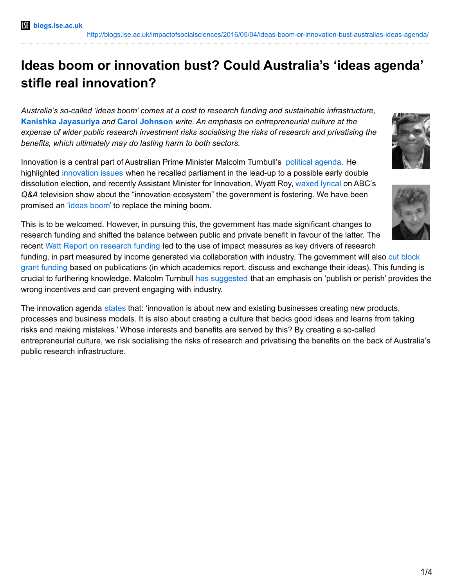## **Ideas boom or innovation bust? Could Australia's 'ideas agenda' stifle real innovation?**

*Australia's so-called 'ideas boom' comes at a cost to research funding and sustainable infrastructure,* **Kanishka Jayasuriya** *and* **Carol Johnson** *write. An emphasis on entrepreneurial culture at the expense of wider public research investment risks socialising the risks of research and privatising the benefits, which ultimately may do lasting harm to both sectors.*

Innovation is a central part of Australian Prime Minister Malcolm Turnbull's [political](http://www.innovation.gov.au/page/agenda) agenda. He highlighted [innovation](http://www.pm.gov.au/media/2016-03-21/press-conference-parliament-house) issues when he recalled parliament in the lead-up to a possible early double dissolution election, and recently Assistant Minister for Innovation, Wyatt Roy, [waxed](http://www.abc.net.au/tv/qanda/txt/s4415856.htm) lyrical on ABC's *Q&A* television show about the "innovation ecosystem" the government is fostering. We have been promised an '[ideas](http://www.innovation.gov.au/) boom' to replace the mining boom.

This is to be welcomed. However, in pursuing this, the government has made significant changes to research funding and shifted the balance between public and private benefit in favour of the latter. The recent Watt Report on [research](https://www.education.gov.au/review-research-policy-and-funding-arrangements) funding led to the use of impact measures as key drivers of research

funding, in part measured by income generated via [collaboration](http://www.innovation.gov.au/factsheets/driving-greater-collaboration-through-university-research-block-grants) with industry. The government will also cut block grant funding based on publications (in which academics report, discuss and exchange their ideas). This funding is crucial to furthering knowledge. Malcolm Turnbull has [suggested](http://www.pm.gov.au/media/2015-12-18/press-conference-miraikan-national-museum-emerging-science-and-innovation) that an emphasis on 'publish or perish' provides the wrong incentives and can prevent engaging with industry.

The innovation agenda [states](http://innovation.gov.au/page/national-innovation-and-science-agenda-report) that: 'innovation is about new and existing businesses creating new products, processes and business models. It is also about creating a culture that backs good ideas and learns from taking risks and making mistakes.' Whose interests and benefits are served by this? By creating a so-called entrepreneurial culture, we risk socialising the risks of research and privatising the benefits on the back of Australia's public research infrastructure.



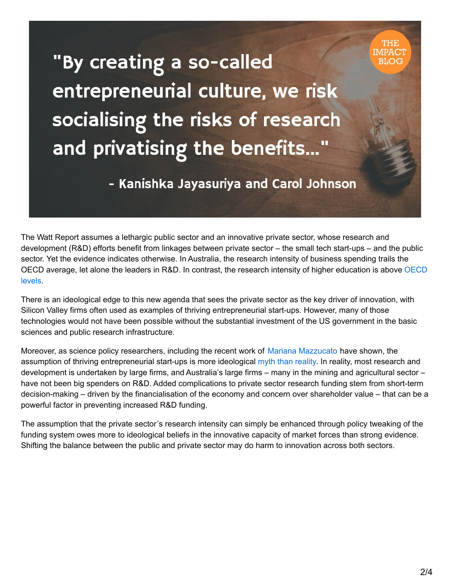"By creating a so-called entrepreneurial culture, we risk socialising the risks of research and privatising the benefits..."

## - Kanishka Jayasuriya and Carol Johnson

The Watt Report assumes a lethargic public sector and an innovative private sector, whose research and development (R&D) efforts benefit from linkages between private sector – the small tech start-ups – and the public sector. Yet the evidence indicates otherwise. In Australia, the research intensity of business spending trails the OECD average, let alone the leaders in R&D. In contrast, the research intensity of higher [education](http://www.industry.gov.au/Office-of-the-Chief-Economist/Publications/Documents/Australian-Innovation-System/Australian-Innovation-System-Report-2015.pdf) is above OECD levels.

There is an ideological edge to this new agenda that sees the private sector as the key driver of innovation, with Silicon Valley firms often used as examples of thriving entrepreneurial start-ups. However, many of those technologies would not have been possible without the substantial investment of the US government in the basic sciences and public research infrastructure.

Moreover, as science policy researchers, including the recent work of Mariana [Mazzucato](http://marianamazzucato.com/) have shown, the assumption of thriving entrepreneurial start-ups is more ideological myth than [reality](http://www.economist.com/news/business/21584307-new-book-points-out-big-role-governments-play-creating-innovative-businesses). In reality, most research and development is undertaken by large firms, and Australia's large firms – many in the mining and agricultural sector – have not been big spenders on R&D. Added complications to private sector research funding stem from short-term decision-making – driven by the financialisation of the economy and concern over shareholder value – that can be a powerful factor in preventing increased R&D funding.

The assumption that the private sector's research intensity can simply be enhanced through policy tweaking of the funding system owes more to ideological beliefs in the innovative capacity of market forces than strong evidence. Shifting the balance between the public and private sector may do harm to innovation across both sectors.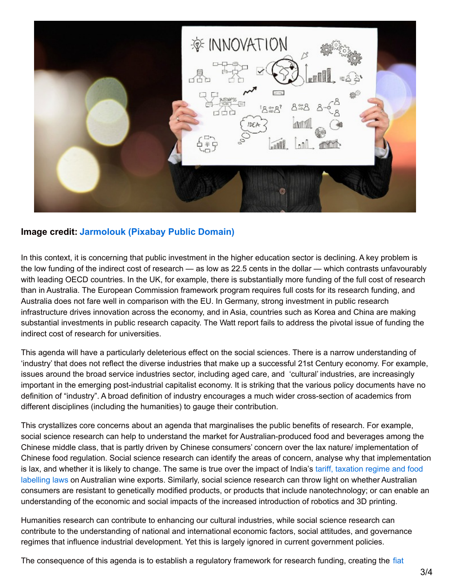

## **Image credit: [Jarmolouk](https://pixabay.com/en/business-innovation-money-icon-561387/) (Pixabay Public Domain)**

In this context, it is concerning that public investment in the higher education sector is declining. A key problem is the low funding of the indirect cost of research — as low as 22.5 cents in the dollar — which contrasts unfavourably with leading OECD countries. In the UK, for example, there is substantially more funding of the full cost of research than in Australia. The European Commission framework program requires full costs for its research funding, and Australia does not fare well in comparison with the EU. In Germany, strong investment in public research infrastructure drives innovation across the economy, and in Asia, countries such as Korea and China are making substantial investments in public research capacity. The Watt report fails to address the pivotal issue of funding the indirect cost of research for universities.

This agenda will have a particularly deleterious effect on the social sciences. There is a narrow understanding of 'industry' that does not reflect the diverse industries that make up a successful 21st Century economy. For example, issues around the broad service industries sector, including aged care, and 'cultural' industries, are increasingly important in the emerging post-industrial capitalist economy. It is striking that the various policy documents have no definition of "industry". A broad definition of industry encourages a much wider cross-section of academics from different disciplines (including the humanities) to gauge their contribution.

This crystallizes core concerns about an agenda that marginalises the public benefits of research. For example, social science research can help to understand the market for Australian-produced food and beverages among the Chinese middle class, that is partly driven by Chinese consumers' concern over the lax nature/ implementation of Chinese food regulation. Social science research can identify the areas of concern, analyse why that implementation is lax, and whether it is likely to change. The same is true over the impact of India's tariff, taxation regime and food labelling laws on Australian wine exports. Similarly, social science research can throw light on whether [Australian](http://www.austrade.gov.au/Australian/Export/Export-markets/Countries/India/Industries/food-and-beverage) consumers are resistant to genetically modified products, or products that include nanotechnology; or can enable an understanding of the economic and social impacts of the increased introduction of robotics and 3D printing.

Humanities research can contribute to enhancing our cultural industries, while social science research can contribute to the understanding of national and international economic factors, social attitudes, and governance regimes that influence industrial development. Yet this is largely ignored in current government policies.

The [consequence](https://mises.org/library/cultural-and-political-consequences-fiat-money-0) of this agenda is to establish a regulatory framework for research funding, creating the fiat